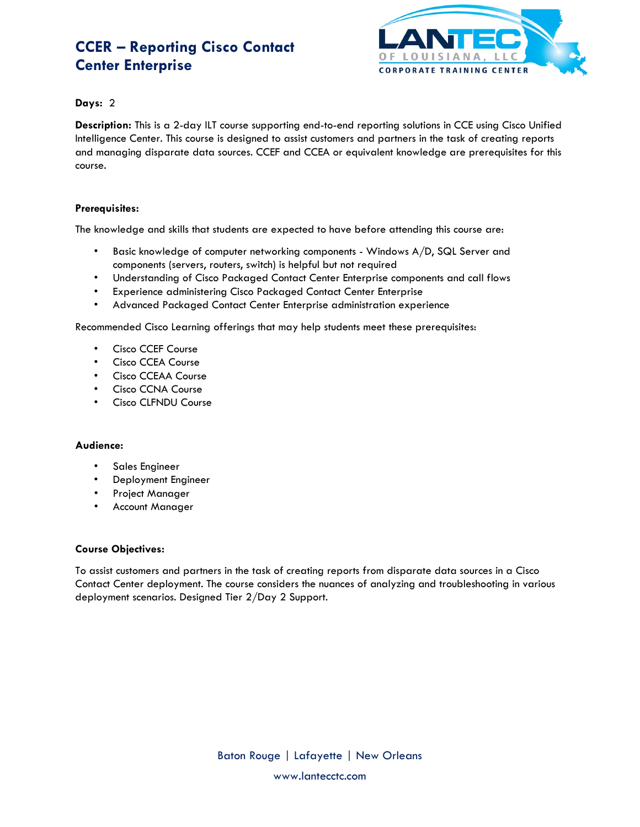# **CCER – Reporting Cisco Contact Center Enterprise**



## **Days:** 2

**Description:** This is a 2-day ILT course supporting end-to-end reporting solutions in CCE using Cisco Unified Intelligence Center. This course is designed to assist customers and partners in the task of creating reports and managing disparate data sources. CCEF and CCEA or equivalent knowledge are prerequisites for this course.

## **Prerequisites:**

The knowledge and skills that students are expected to have before attending this course are:

- Basic knowledge of computer networking components Windows A/D, SQL Server and components (servers, routers, switch) is helpful but not required
- Understanding of Cisco Packaged Contact Center Enterprise components and call flows
- Experience administering Cisco Packaged Contact Center Enterprise
- Advanced Packaged Contact Center Enterprise administration experience

Recommended Cisco Learning offerings that may help students meet these prerequisites:

- Cisco CCEF Course
- Cisco CCEA Course
- Cisco CCEAA Course
- Cisco CCNA Course
- Cisco CLFNDU Course

#### **Audience:**

- Sales Engineer
- Deployment Engineer
- Project Manager
- Account Manager

#### **Course Objectives:**

To assist customers and partners in the task of creating reports from disparate data sources in a Cisco Contact Center deployment. The course considers the nuances of analyzing and troubleshooting in various deployment scenarios. Designed Tier 2/Day 2 Support.